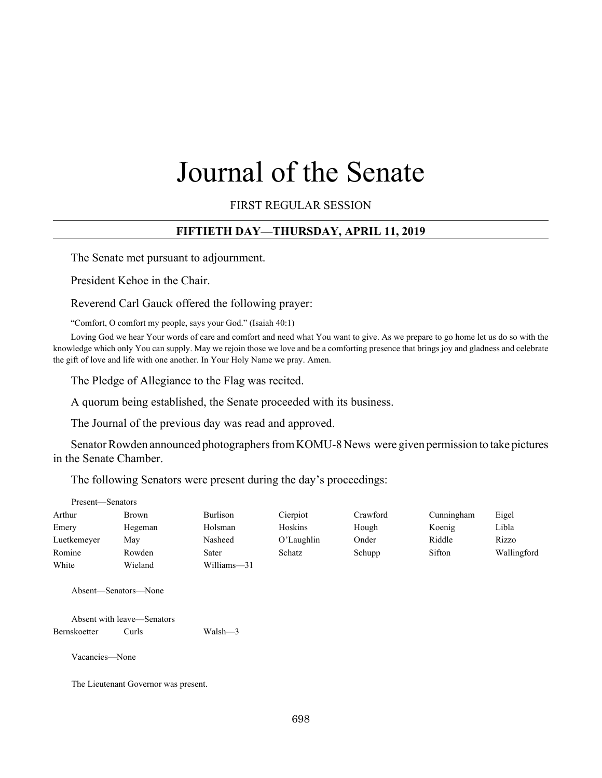# Journal of the Senate

FIRST REGULAR SESSION

# **FIFTIETH DAY—THURSDAY, APRIL 11, 2019**

The Senate met pursuant to adjournment.

President Kehoe in the Chair.

Reverend Carl Gauck offered the following prayer:

"Comfort, O comfort my people, says your God." (Isaiah 40:1)

Loving God we hear Your words of care and comfort and need what You want to give. As we prepare to go home let us do so with the knowledge which only You can supply. May we rejoin those we love and be a comforting presence that brings joy and gladness and celebrate the gift of love and life with one another. In Your Holy Name we pray. Amen.

The Pledge of Allegiance to the Flag was recited.

A quorum being established, the Senate proceeded with its business.

The Journal of the previous day was read and approved.

Senator Rowden announced photographers from KOMU-8 News were given permission to take pictures in the Senate Chamber.

The following Senators were present during the day's proceedings:

| Emery<br>Hegeman   | Holsman     | Hoskins    |        |        |             |
|--------------------|-------------|------------|--------|--------|-------------|
|                    |             |            | Hough  | Koenig | Libla       |
| Luetkemeyer<br>May | Nasheed     | O'Laughlin | Onder  | Riddle | Rizzo       |
| Romine<br>Rowden   | Sater       | Schatz     | Schupp | Sifton | Wallingford |
| White<br>Wieland   | Williams-31 |            |        |        |             |

Absent with leave—Senators Bernskoetter Curls Walsh—3

Vacancies—None

The Lieutenant Governor was present.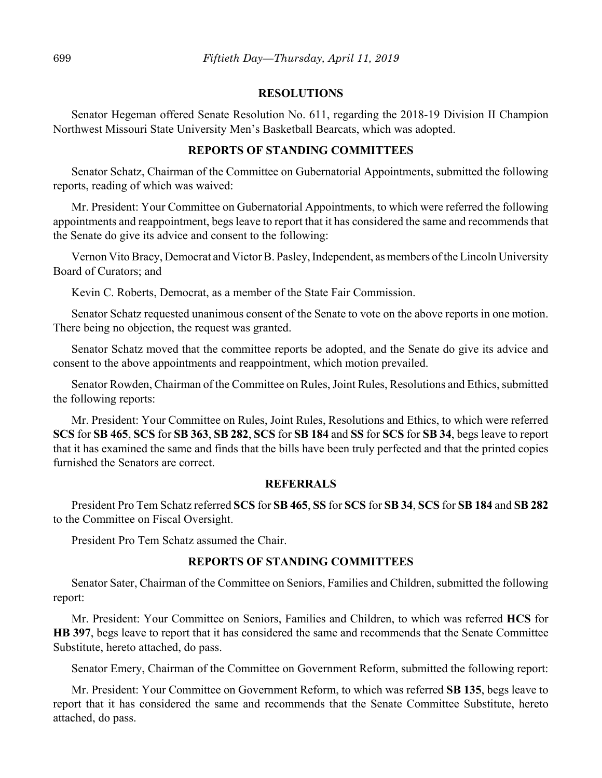## **RESOLUTIONS**

Senator Hegeman offered Senate Resolution No. 611, regarding the 2018-19 Division II Champion Northwest Missouri State University Men's Basketball Bearcats, which was adopted.

## **REPORTS OF STANDING COMMITTEES**

Senator Schatz, Chairman of the Committee on Gubernatorial Appointments, submitted the following reports, reading of which was waived:

Mr. President: Your Committee on Gubernatorial Appointments, to which were referred the following appointments and reappointment, begs leave to report that it has considered the same and recommends that the Senate do give its advice and consent to the following:

Vernon Vito Bracy, Democrat and Victor B. Pasley, Independent, as members of the Lincoln University Board of Curators; and

Kevin C. Roberts, Democrat, as a member of the State Fair Commission.

Senator Schatz requested unanimous consent of the Senate to vote on the above reports in one motion. There being no objection, the request was granted.

Senator Schatz moved that the committee reports be adopted, and the Senate do give its advice and consent to the above appointments and reappointment, which motion prevailed.

Senator Rowden, Chairman of the Committee on Rules, Joint Rules, Resolutions and Ethics, submitted the following reports:

Mr. President: Your Committee on Rules, Joint Rules, Resolutions and Ethics, to which were referred **SCS** for **SB 465**, **SCS** for **SB 363**, **SB 282**, **SCS** for **SB 184** and **SS** for **SCS** for **SB 34**, begs leave to report that it has examined the same and finds that the bills have been truly perfected and that the printed copies furnished the Senators are correct.

## **REFERRALS**

President Pro Tem Schatz referred **SCS** for **SB 465**, **SS** for **SCS** for **SB 34**, **SCS** for **SB 184** and **SB 282** to the Committee on Fiscal Oversight.

President Pro Tem Schatz assumed the Chair.

# **REPORTS OF STANDING COMMITTEES**

Senator Sater, Chairman of the Committee on Seniors, Families and Children, submitted the following report:

Mr. President: Your Committee on Seniors, Families and Children, to which was referred **HCS** for **HB 397**, begs leave to report that it has considered the same and recommends that the Senate Committee Substitute, hereto attached, do pass.

Senator Emery, Chairman of the Committee on Government Reform, submitted the following report:

Mr. President: Your Committee on Government Reform, to which was referred **SB 135**, begs leave to report that it has considered the same and recommends that the Senate Committee Substitute, hereto attached, do pass.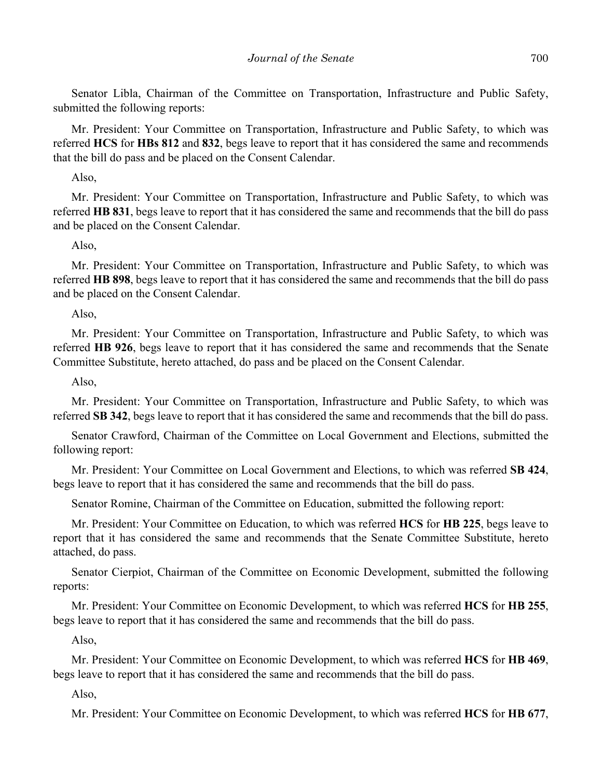Senator Libla, Chairman of the Committee on Transportation, Infrastructure and Public Safety, submitted the following reports:

Mr. President: Your Committee on Transportation, Infrastructure and Public Safety, to which was referred **HCS** for **HBs 812** and **832**, begs leave to report that it has considered the same and recommends that the bill do pass and be placed on the Consent Calendar.

# Also,

Mr. President: Your Committee on Transportation, Infrastructure and Public Safety, to which was referred **HB 831**, begs leave to report that it has considered the same and recommends that the bill do pass and be placed on the Consent Calendar.

## Also,

Mr. President: Your Committee on Transportation, Infrastructure and Public Safety, to which was referred **HB 898**, begs leave to report that it has considered the same and recommends that the bill do pass and be placed on the Consent Calendar.

Also,

Mr. President: Your Committee on Transportation, Infrastructure and Public Safety, to which was referred **HB 926**, begs leave to report that it has considered the same and recommends that the Senate Committee Substitute, hereto attached, do pass and be placed on the Consent Calendar.

Also,

Mr. President: Your Committee on Transportation, Infrastructure and Public Safety, to which was referred **SB 342**, begs leave to report that it has considered the same and recommends that the bill do pass.

Senator Crawford, Chairman of the Committee on Local Government and Elections, submitted the following report:

Mr. President: Your Committee on Local Government and Elections, to which was referred **SB 424**, begs leave to report that it has considered the same and recommends that the bill do pass.

Senator Romine, Chairman of the Committee on Education, submitted the following report:

Mr. President: Your Committee on Education, to which was referred **HCS** for **HB 225**, begs leave to report that it has considered the same and recommends that the Senate Committee Substitute, hereto attached, do pass.

Senator Cierpiot, Chairman of the Committee on Economic Development, submitted the following reports:

Mr. President: Your Committee on Economic Development, to which was referred **HCS** for **HB 255**, begs leave to report that it has considered the same and recommends that the bill do pass.

Also,

Mr. President: Your Committee on Economic Development, to which was referred **HCS** for **HB 469**, begs leave to report that it has considered the same and recommends that the bill do pass.

Also,

Mr. President: Your Committee on Economic Development, to which was referred **HCS** for **HB 677**,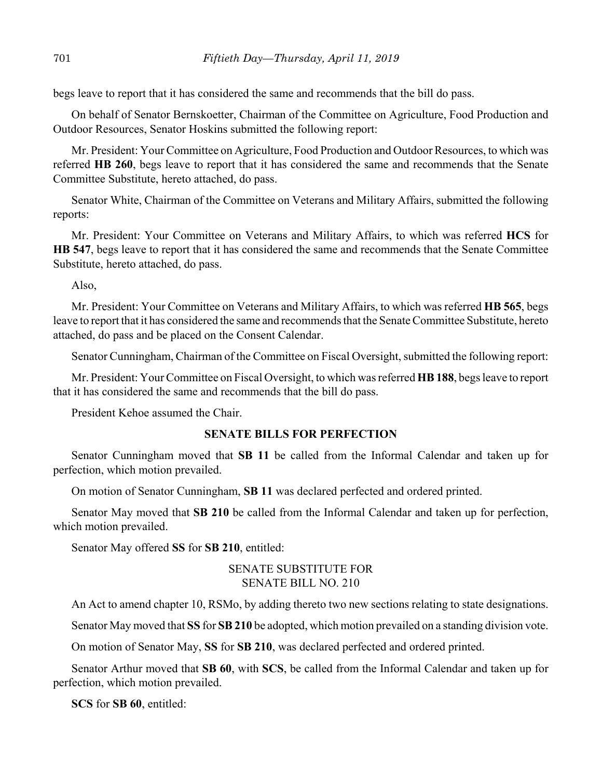begs leave to report that it has considered the same and recommends that the bill do pass.

On behalf of Senator Bernskoetter, Chairman of the Committee on Agriculture, Food Production and Outdoor Resources, Senator Hoskins submitted the following report:

Mr. President: Your Committee on Agriculture, Food Production and Outdoor Resources, to which was referred **HB 260**, begs leave to report that it has considered the same and recommends that the Senate Committee Substitute, hereto attached, do pass.

Senator White, Chairman of the Committee on Veterans and Military Affairs, submitted the following reports:

Mr. President: Your Committee on Veterans and Military Affairs, to which was referred **HCS** for **HB 547**, begs leave to report that it has considered the same and recommends that the Senate Committee Substitute, hereto attached, do pass.

Also,

Mr. President: Your Committee on Veterans and Military Affairs, to which was referred **HB 565**, begs leave to report that it has considered the same and recommends that the Senate Committee Substitute, hereto attached, do pass and be placed on the Consent Calendar.

Senator Cunningham, Chairman of the Committee on Fiscal Oversight, submitted the following report:

Mr. President: Your Committee on Fiscal Oversight, to which was referred **HB 188**, begs leave to report that it has considered the same and recommends that the bill do pass.

President Kehoe assumed the Chair.

## **SENATE BILLS FOR PERFECTION**

Senator Cunningham moved that **SB 11** be called from the Informal Calendar and taken up for perfection, which motion prevailed.

On motion of Senator Cunningham, **SB 11** was declared perfected and ordered printed.

Senator May moved that **SB 210** be called from the Informal Calendar and taken up for perfection, which motion prevailed.

Senator May offered **SS** for **SB 210**, entitled:

## SENATE SUBSTITUTE FOR SENATE BILL NO. 210

An Act to amend chapter 10, RSMo, by adding thereto two new sections relating to state designations.

Senator May moved that **SS** for **SB 210** be adopted, which motion prevailed on a standing division vote.

On motion of Senator May, **SS** for **SB 210**, was declared perfected and ordered printed.

Senator Arthur moved that **SB 60**, with **SCS**, be called from the Informal Calendar and taken up for perfection, which motion prevailed.

**SCS** for **SB 60**, entitled: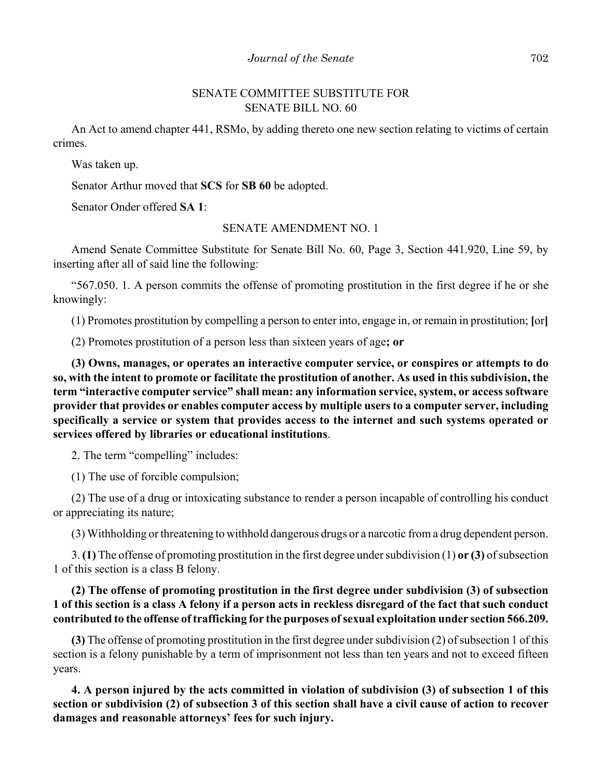# SENATE COMMITTEE SUBSTITUTE FOR SENATE BILL NO. 60

An Act to amend chapter 441, RSMo, by adding thereto one new section relating to victims of certain crimes.

Was taken up.

Senator Arthur moved that **SCS** for **SB 60** be adopted.

Senator Onder offered **SA 1**:

# SENATE AMENDMENT NO. 1

Amend Senate Committee Substitute for Senate Bill No. 60, Page 3, Section 441.920, Line 59, by inserting after all of said line the following:

"567.050. 1. A person commits the offense of promoting prostitution in the first degree if he or she knowingly:

(1) Promotes prostitution by compelling a person to enter into, engage in, or remain in prostitution; **[**or**]**

(2) Promotes prostitution of a person less than sixteen years of age**; or**

**(3) Owns, manages, or operates an interactive computer service, or conspires or attempts to do so, with the intent to promote or facilitate the prostitution of another. As used in this subdivision, the term "interactive computer service" shall mean: any information service, system, or access software provider that provides or enables computer access by multiple users to a computer server, including specifically a service or system that provides access to the internet and such systems operated or services offered by libraries or educational institutions**.

2. The term "compelling" includes:

(1) The use of forcible compulsion;

(2) The use of a drug or intoxicating substance to render a person incapable of controlling his conduct or appreciating its nature;

(3) Withholding or threatening to withhold dangerous drugs or a narcotic from a drug dependent person.

3. **(1)** The offense of promoting prostitution in the first degree under subdivision (1) **or (3)** of subsection 1 of this section is a class B felony.

# **(2) The offense of promoting prostitution in the first degree under subdivision (3) of subsection 1 of this section is a class A felony if a person acts in reckless disregard of the fact that such conduct contributed to the offense of trafficking for the purposes of sexual exploitation under section 566.209.**

**(3)** The offense of promoting prostitution in the first degree under subdivision (2) of subsection 1 of this section is a felony punishable by a term of imprisonment not less than ten years and not to exceed fifteen years.

**4. A person injured by the acts committed in violation of subdivision (3) of subsection 1 of this section or subdivision (2) of subsection 3 of this section shall have a civil cause of action to recover damages and reasonable attorneys' fees for such injury.**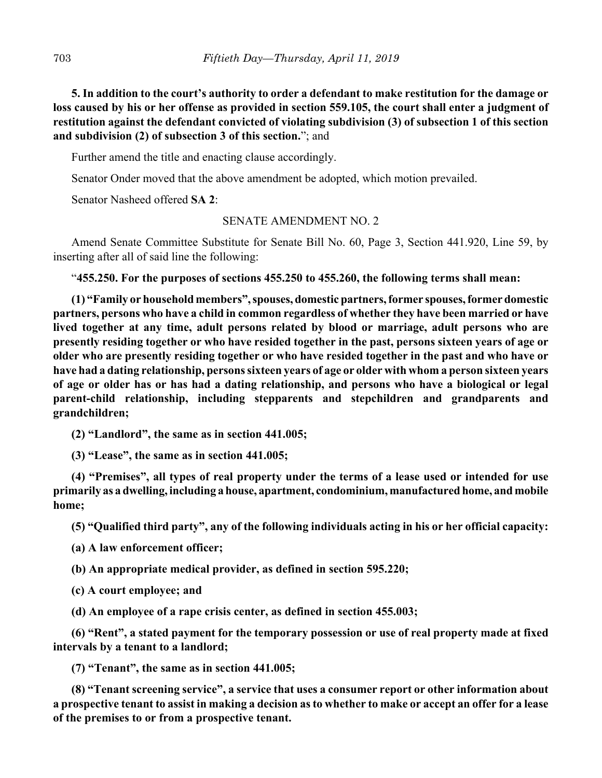**5. In addition to the court's authority to order a defendant to make restitution for the damage or loss caused by his or her offense as provided in section 559.105, the court shall enter a judgment of restitution against the defendant convicted of violating subdivision (3) of subsection 1 of this section and subdivision (2) of subsection 3 of this section.**"; and

Further amend the title and enacting clause accordingly.

Senator Onder moved that the above amendment be adopted, which motion prevailed.

Senator Nasheed offered **SA 2**:

## SENATE AMENDMENT NO. 2

Amend Senate Committee Substitute for Senate Bill No. 60, Page 3, Section 441.920, Line 59, by inserting after all of said line the following:

"**455.250. For the purposes of sections 455.250 to 455.260, the following terms shall mean:**

**(1) "Family or household members", spouses, domestic partners, former spouses, former domestic partners, persons who have a child in common regardless of whether they have been married or have lived together at any time, adult persons related by blood or marriage, adult persons who are presently residing together or who have resided together in the past, persons sixteen years of age or older who are presently residing together or who have resided together in the past and who have or have had a dating relationship, persons sixteen years of age or older with whom a person sixteen years of age or older has or has had a dating relationship, and persons who have a biological or legal parent-child relationship, including stepparents and stepchildren and grandparents and grandchildren;**

**(2) "Landlord", the same as in section 441.005;**

**(3) "Lease", the same as in section 441.005;**

**(4) "Premises", all types of real property under the terms of a lease used or intended for use primarily as a dwelling, including a house, apartment, condominium, manufactured home, and mobile home;**

**(5) "Qualified third party", any of the following individuals acting in his or her official capacity:**

**(a) A law enforcement officer;**

**(b) An appropriate medical provider, as defined in section 595.220;**

**(c) A court employee; and**

**(d) An employee of a rape crisis center, as defined in section 455.003;**

**(6) "Rent", a stated payment for the temporary possession or use of real property made at fixed intervals by a tenant to a landlord;**

**(7) "Tenant", the same as in section 441.005;**

**(8) "Tenant screening service", a service that uses a consumer report or other information about a prospective tenant to assist in making a decision as to whether to make or accept an offer for a lease of the premises to or from a prospective tenant.**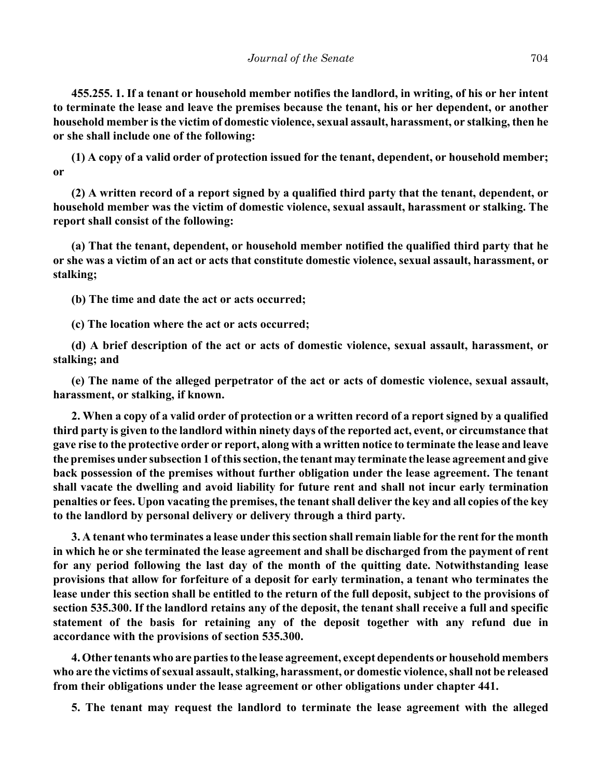**455.255. 1. If a tenant or household member notifies the landlord, in writing, of his or her intent to terminate the lease and leave the premises because the tenant, his or her dependent, or another household member is the victim of domestic violence, sexual assault, harassment, or stalking, then he or she shall include one of the following:**

**(1) A copy of a valid order of protection issued for the tenant, dependent, or household member; or**

**(2) A written record of a report signed by a qualified third party that the tenant, dependent, or household member was the victim of domestic violence, sexual assault, harassment or stalking. The report shall consist of the following:**

**(a) That the tenant, dependent, or household member notified the qualified third party that he or she was a victim of an act or acts that constitute domestic violence, sexual assault, harassment, or stalking;**

**(b) The time and date the act or acts occurred;**

**(c) The location where the act or acts occurred;**

**(d) A brief description of the act or acts of domestic violence, sexual assault, harassment, or stalking; and**

**(e) The name of the alleged perpetrator of the act or acts of domestic violence, sexual assault, harassment, or stalking, if known.**

**2. When a copy of a valid order of protection or a written record of a report signed by a qualified third party is given to the landlord within ninety days of the reported act, event, or circumstance that gave rise to the protective order or report, along with a written notice to terminate the lease and leave the premises under subsection 1 of this section, the tenant may terminate the lease agreement and give back possession of the premises without further obligation under the lease agreement. The tenant shall vacate the dwelling and avoid liability for future rent and shall not incur early termination penalties or fees. Upon vacating the premises, the tenant shall deliver the key and all copies of the key to the landlord by personal delivery or delivery through a third party.**

**3. A tenant who terminates a lease under this section shall remain liable for the rent for the month in which he or she terminated the lease agreement and shall be discharged from the payment of rent for any period following the last day of the month of the quitting date. Notwithstanding lease provisions that allow for forfeiture of a deposit for early termination, a tenant who terminates the lease under this section shall be entitled to the return of the full deposit, subject to the provisions of section 535.300. If the landlord retains any of the deposit, the tenant shall receive a full and specific statement of the basis for retaining any of the deposit together with any refund due in accordance with the provisions of section 535.300.**

**4. Other tenants who are parties to the lease agreement, except dependents or household members who are the victims of sexual assault, stalking, harassment, or domestic violence, shall not be released from their obligations under the lease agreement or other obligations under chapter 441.**

**5. The tenant may request the landlord to terminate the lease agreement with the alleged**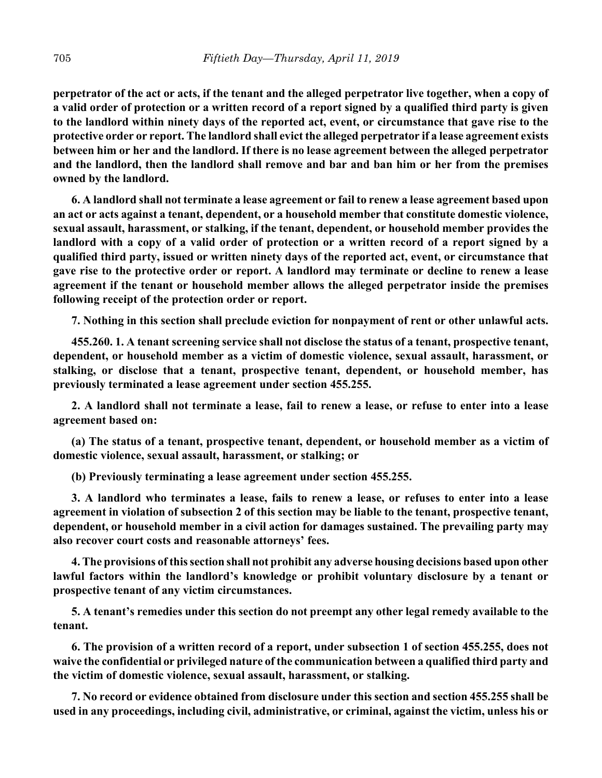**perpetrator of the act or acts, if the tenant and the alleged perpetrator live together, when a copy of a valid order of protection or a written record of a report signed by a qualified third party is given to the landlord within ninety days of the reported act, event, or circumstance that gave rise to the protective order or report. The landlord shall evict the alleged perpetrator if a lease agreement exists between him or her and the landlord. If there is no lease agreement between the alleged perpetrator and the landlord, then the landlord shall remove and bar and ban him or her from the premises owned by the landlord.**

**6. A landlord shall not terminate a lease agreement or fail to renew a lease agreement based upon an act or acts against a tenant, dependent, or a household member that constitute domestic violence, sexual assault, harassment, or stalking, if the tenant, dependent, or household member provides the landlord with a copy of a valid order of protection or a written record of a report signed by a qualified third party, issued or written ninety days of the reported act, event, or circumstance that gave rise to the protective order or report. A landlord may terminate or decline to renew a lease agreement if the tenant or household member allows the alleged perpetrator inside the premises following receipt of the protection order or report.**

**7. Nothing in this section shall preclude eviction for nonpayment of rent or other unlawful acts.**

**455.260. 1. A tenant screening service shall not disclose the status of a tenant, prospective tenant, dependent, or household member as a victim of domestic violence, sexual assault, harassment, or stalking, or disclose that a tenant, prospective tenant, dependent, or household member, has previously terminated a lease agreement under section 455.255.**

**2. A landlord shall not terminate a lease, fail to renew a lease, or refuse to enter into a lease agreement based on:**

**(a) The status of a tenant, prospective tenant, dependent, or household member as a victim of domestic violence, sexual assault, harassment, or stalking; or**

**(b) Previously terminating a lease agreement under section 455.255.**

**3. A landlord who terminates a lease, fails to renew a lease, or refuses to enter into a lease agreement in violation of subsection 2 of this section may be liable to the tenant, prospective tenant, dependent, or household member in a civil action for damages sustained. The prevailing party may also recover court costs and reasonable attorneys' fees.**

**4. The provisions of this section shall not prohibit any adverse housing decisions based upon other lawful factors within the landlord's knowledge or prohibit voluntary disclosure by a tenant or prospective tenant of any victim circumstances.**

**5. A tenant's remedies under this section do not preempt any other legal remedy available to the tenant.**

**6. The provision of a written record of a report, under subsection 1 of section 455.255, does not waive the confidential or privileged nature of the communication between a qualified third party and the victim of domestic violence, sexual assault, harassment, or stalking.**

**7. No record or evidence obtained from disclosure under this section and section 455.255 shall be used in any proceedings, including civil, administrative, or criminal, against the victim, unless his or**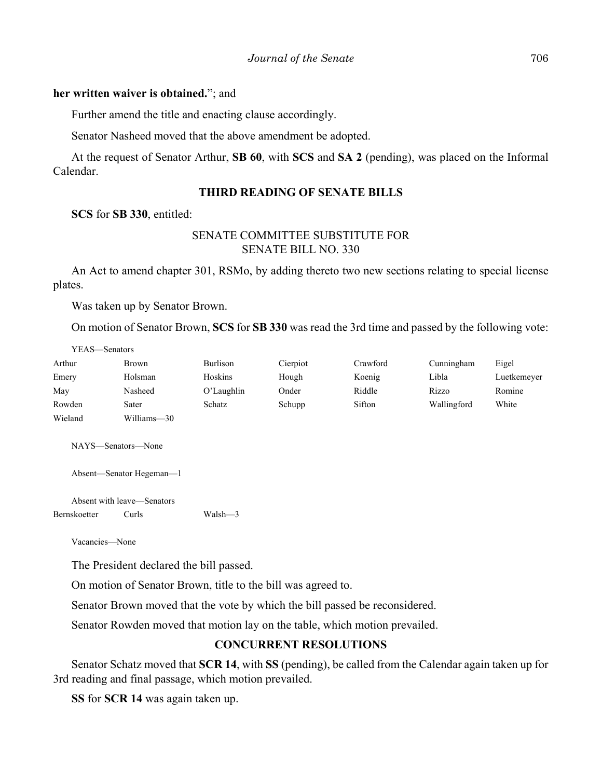## **her written waiver is obtained.**"; and

Further amend the title and enacting clause accordingly.

Senator Nasheed moved that the above amendment be adopted.

At the request of Senator Arthur, **SB 60**, with **SCS** and **SA 2** (pending), was placed on the Informal Calendar.

## **THIRD READING OF SENATE BILLS**

**SCS** for **SB 330**, entitled:

# SENATE COMMITTEE SUBSTITUTE FOR SENATE BILL NO. 330

An Act to amend chapter 301, RSMo, by adding thereto two new sections relating to special license plates.

Was taken up by Senator Brown.

On motion of Senator Brown, **SCS** for **SB 330** was read the 3rd time and passed by the following vote:

| YEAS—Senators |             |            |          |          |             |             |
|---------------|-------------|------------|----------|----------|-------------|-------------|
| Arthur        | Brown       | Burlison   | Cierpiot | Crawford | Cunningham  | Eigel       |
| Emery         | Holsman     | Hoskins    | Hough    | Koenig   | Libla       | Luetkemeyer |
| May           | Nasheed     | O'Laughlin | Onder    | Riddle   | Rizzo       | Romine      |
| Rowden        | Sater       | Schatz     | Schupp   | Sifton   | Wallingford | White       |
| Wieland       | Williams-30 |            |          |          |             |             |

NAYS—Senators—None

Absent—Senator Hegeman—1

Absent with leave—Senators Bernskoetter Curls Walsh—3

Vacancies—None

The President declared the bill passed.

On motion of Senator Brown, title to the bill was agreed to.

Senator Brown moved that the vote by which the bill passed be reconsidered.

Senator Rowden moved that motion lay on the table, which motion prevailed.

# **CONCURRENT RESOLUTIONS**

Senator Schatz moved that **SCR 14**, with **SS** (pending), be called from the Calendar again taken up for 3rd reading and final passage, which motion prevailed.

**SS** for **SCR 14** was again taken up.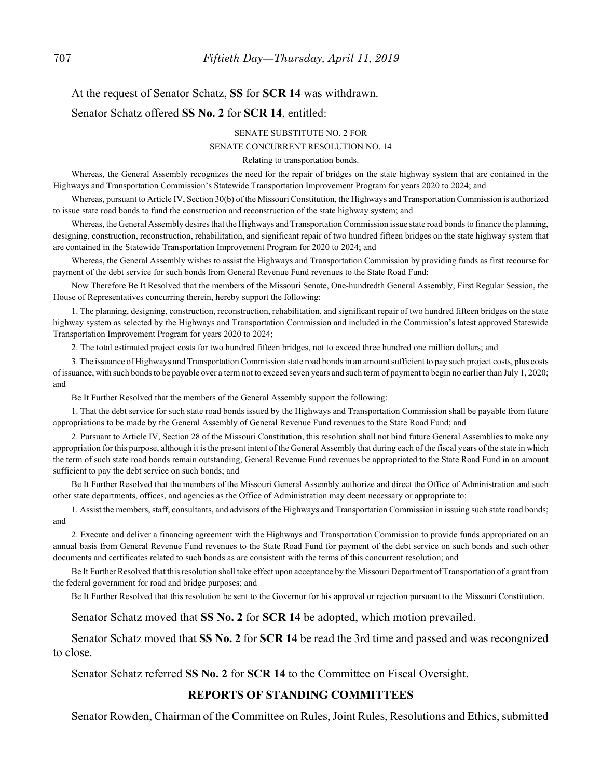# At the request of Senator Schatz, **SS** for **SCR 14** was withdrawn. Senator Schatz offered **SS No. 2** for **SCR 14**, entitled:

#### SENATE SUBSTITUTE NO. 2 FOR

## SENATE CONCURRENT RESOLUTION NO. 14

#### Relating to transportation bonds.

Whereas, the General Assembly recognizes the need for the repair of bridges on the state highway system that are contained in the Highways and Transportation Commission's Statewide Transportation Improvement Program for years 2020 to 2024; and

Whereas, pursuant to Article IV, Section 30(b) of the Missouri Constitution, the Highways and Transportation Commission is authorized to issue state road bonds to fund the construction and reconstruction of the state highway system; and

Whereas, the General Assembly desires that the Highways and Transportation Commission issue state road bonds to finance the planning, designing, construction, reconstruction, rehabilitation, and significant repair of two hundred fifteen bridges on the state highway system that are contained in the Statewide Transportation Improvement Program for 2020 to 2024; and

Whereas, the General Assembly wishes to assist the Highways and Transportation Commission by providing funds as first recourse for payment of the debt service for such bonds from General Revenue Fund revenues to the State Road Fund:

Now Therefore Be It Resolved that the members of the Missouri Senate, One-hundredth General Assembly, First Regular Session, the House of Representatives concurring therein, hereby support the following:

1. The planning, designing, construction, reconstruction, rehabilitation, and significant repair of two hundred fifteen bridges on the state highway system as selected by the Highways and Transportation Commission and included in the Commission's latest approved Statewide Transportation Improvement Program for years 2020 to 2024;

2. The total estimated project costs for two hundred fifteen bridges, not to exceed three hundred one million dollars; and

3. The issuance of Highways and Transportation Commission state road bonds in an amount sufficient to pay such project costs, plus costs of issuance, with such bonds to be payable over a term not to exceed seven years and such term of payment to begin no earlier than July 1, 2020; and

Be It Further Resolved that the members of the General Assembly support the following:

1. That the debt service for such state road bonds issued by the Highways and Transportation Commission shall be payable from future appropriations to be made by the General Assembly of General Revenue Fund revenues to the State Road Fund; and

2. Pursuant to Article IV, Section 28 of the Missouri Constitution, this resolution shall not bind future General Assemblies to make any appropriation for this purpose, although it is the present intent of the General Assembly that during each of the fiscal years of the state in which the term of such state road bonds remain outstanding, General Revenue Fund revenues be appropriated to the State Road Fund in an amount sufficient to pay the debt service on such bonds; and

Be It Further Resolved that the members of the Missouri General Assembly authorize and direct the Office of Administration and such other state departments, offices, and agencies as the Office of Administration may deem necessary or appropriate to:

1. Assist the members, staff, consultants, and advisors of the Highways and Transportation Commission in issuing such state road bonds; and

2. Execute and deliver a financing agreement with the Highways and Transportation Commission to provide funds appropriated on an annual basis from General Revenue Fund revenues to the State Road Fund for payment of the debt service on such bonds and such other documents and certificates related to such bonds as are consistent with the terms of this concurrent resolution; and

Be It Further Resolved that this resolution shall take effect upon acceptance by the Missouri Department of Transportation of a grant from the federal government for road and bridge purposes; and

Be It Further Resolved that this resolution be sent to the Governor for his approval or rejection pursuant to the Missouri Constitution.

Senator Schatz moved that **SS No. 2** for **SCR 14** be adopted, which motion prevailed.

Senator Schatz moved that **SS No. 2** for **SCR 14** be read the 3rd time and passed and was recongnized to close.

Senator Schatz referred **SS No. 2** for **SCR 14** to the Committee on Fiscal Oversight.

### **REPORTS OF STANDING COMMITTEES**

Senator Rowden, Chairman of the Committee on Rules, Joint Rules, Resolutions and Ethics, submitted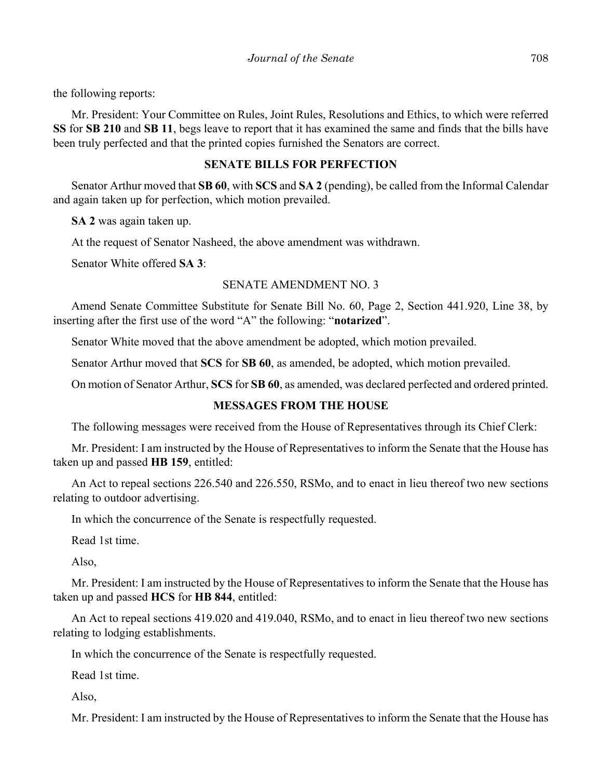the following reports:

Mr. President: Your Committee on Rules, Joint Rules, Resolutions and Ethics, to which were referred **SS** for **SB 210** and **SB 11**, begs leave to report that it has examined the same and finds that the bills have been truly perfected and that the printed copies furnished the Senators are correct.

# **SENATE BILLS FOR PERFECTION**

Senator Arthur moved that **SB 60**, with **SCS** and **SA 2** (pending), be called from the Informal Calendar and again taken up for perfection, which motion prevailed.

**SA 2** was again taken up.

At the request of Senator Nasheed, the above amendment was withdrawn.

Senator White offered **SA 3**:

## SENATE AMENDMENT NO. 3

Amend Senate Committee Substitute for Senate Bill No. 60, Page 2, Section 441.920, Line 38, by inserting after the first use of the word "A" the following: "**notarized**".

Senator White moved that the above amendment be adopted, which motion prevailed.

Senator Arthur moved that **SCS** for **SB 60**, as amended, be adopted, which motion prevailed.

On motion of Senator Arthur, **SCS** for **SB 60**, as amended, was declared perfected and ordered printed.

# **MESSAGES FROM THE HOUSE**

The following messages were received from the House of Representatives through its Chief Clerk:

Mr. President: I am instructed by the House of Representatives to inform the Senate that the House has taken up and passed **HB 159**, entitled:

An Act to repeal sections 226.540 and 226.550, RSMo, and to enact in lieu thereof two new sections relating to outdoor advertising.

In which the concurrence of the Senate is respectfully requested.

Read 1st time.

Also,

Mr. President: I am instructed by the House of Representatives to inform the Senate that the House has taken up and passed **HCS** for **HB 844**, entitled:

An Act to repeal sections 419.020 and 419.040, RSMo, and to enact in lieu thereof two new sections relating to lodging establishments.

In which the concurrence of the Senate is respectfully requested.

Read 1st time.

Also,

Mr. President: I am instructed by the House of Representatives to inform the Senate that the House has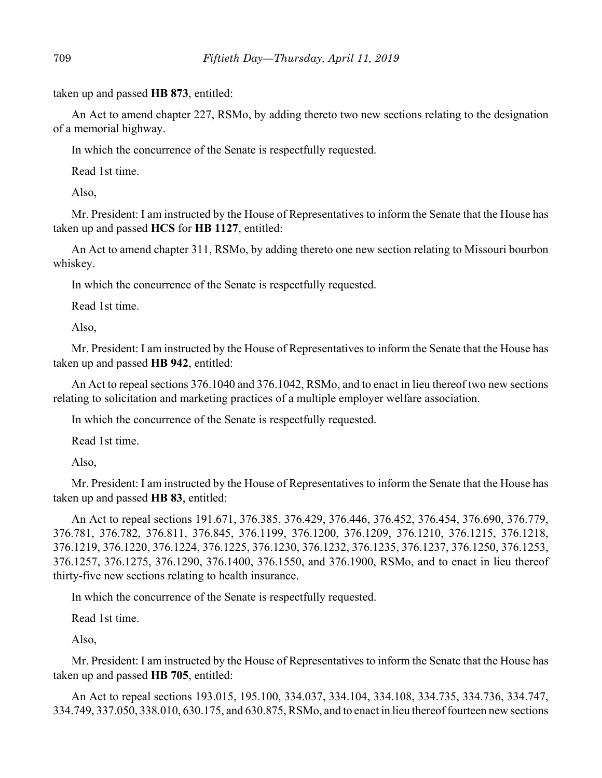taken up and passed **HB 873**, entitled:

An Act to amend chapter 227, RSMo, by adding thereto two new sections relating to the designation of a memorial highway.

In which the concurrence of the Senate is respectfully requested.

Read 1st time.

Also,

Mr. President: I am instructed by the House of Representatives to inform the Senate that the House has taken up and passed **HCS** for **HB 1127**, entitled:

An Act to amend chapter 311, RSMo, by adding thereto one new section relating to Missouri bourbon whiskey.

In which the concurrence of the Senate is respectfully requested.

Read 1st time.

Also,

Mr. President: I am instructed by the House of Representatives to inform the Senate that the House has taken up and passed **HB 942**, entitled:

An Act to repeal sections 376.1040 and 376.1042, RSMo, and to enact in lieu thereof two new sections relating to solicitation and marketing practices of a multiple employer welfare association.

In which the concurrence of the Senate is respectfully requested.

Read 1st time.

Also,

Mr. President: I am instructed by the House of Representatives to inform the Senate that the House has taken up and passed **HB 83**, entitled:

An Act to repeal sections 191.671, 376.385, 376.429, 376.446, 376.452, 376.454, 376.690, 376.779, 376.781, 376.782, 376.811, 376.845, 376.1199, 376.1200, 376.1209, 376.1210, 376.1215, 376.1218, 376.1219, 376.1220, 376.1224, 376.1225, 376.1230, 376.1232, 376.1235, 376.1237, 376.1250, 376.1253, 376.1257, 376.1275, 376.1290, 376.1400, 376.1550, and 376.1900, RSMo, and to enact in lieu thereof thirty-five new sections relating to health insurance.

In which the concurrence of the Senate is respectfully requested.

Read 1st time.

Also,

Mr. President: I am instructed by the House of Representatives to inform the Senate that the House has taken up and passed **HB 705**, entitled:

An Act to repeal sections 193.015, 195.100, 334.037, 334.104, 334.108, 334.735, 334.736, 334.747, 334.749, 337.050, 338.010, 630.175, and 630.875, RSMo, and to enact in lieu thereof fourteen new sections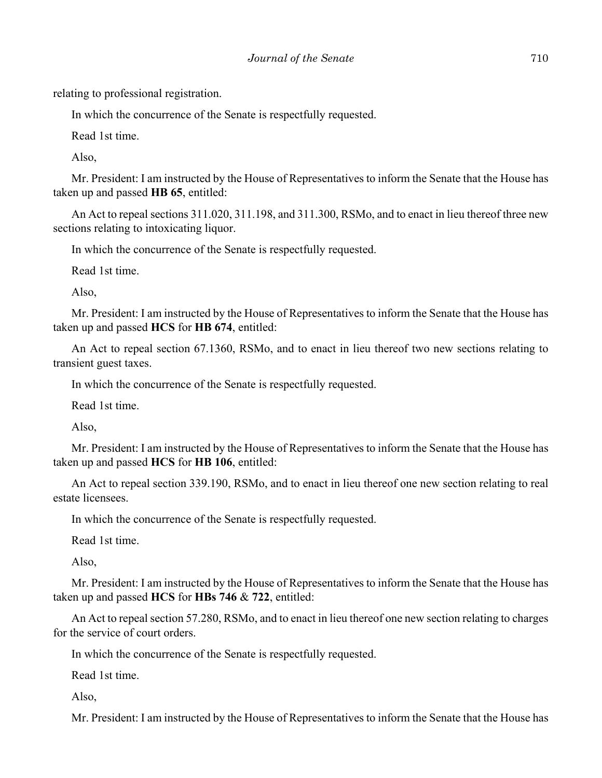relating to professional registration.

In which the concurrence of the Senate is respectfully requested.

Read 1st time.

Also,

Mr. President: I am instructed by the House of Representatives to inform the Senate that the House has taken up and passed **HB 65**, entitled:

An Act to repeal sections 311.020, 311.198, and 311.300, RSMo, and to enact in lieu thereof three new sections relating to intoxicating liquor.

In which the concurrence of the Senate is respectfully requested.

Read 1st time.

Also,

Mr. President: I am instructed by the House of Representatives to inform the Senate that the House has taken up and passed **HCS** for **HB 674**, entitled:

An Act to repeal section 67.1360, RSMo, and to enact in lieu thereof two new sections relating to transient guest taxes.

In which the concurrence of the Senate is respectfully requested.

Read 1st time.

Also,

Mr. President: I am instructed by the House of Representatives to inform the Senate that the House has taken up and passed **HCS** for **HB 106**, entitled:

An Act to repeal section 339.190, RSMo, and to enact in lieu thereof one new section relating to real estate licensees.

In which the concurrence of the Senate is respectfully requested.

Read 1st time.

Also,

Mr. President: I am instructed by the House of Representatives to inform the Senate that the House has taken up and passed **HCS** for **HBs 746** & **722**, entitled:

An Act to repeal section 57.280, RSMo, and to enact in lieu thereof one new section relating to charges for the service of court orders.

In which the concurrence of the Senate is respectfully requested.

Read 1st time.

Also,

Mr. President: I am instructed by the House of Representatives to inform the Senate that the House has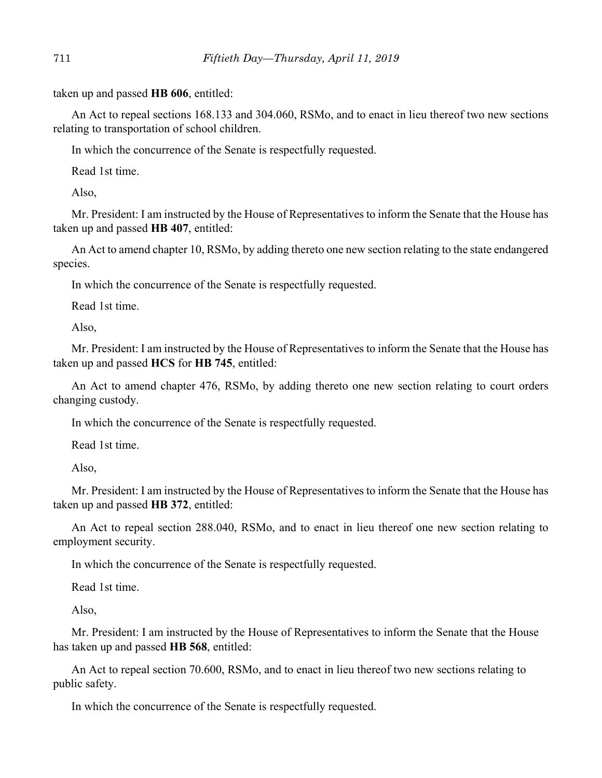taken up and passed **HB 606**, entitled:

An Act to repeal sections 168.133 and 304.060, RSMo, and to enact in lieu thereof two new sections relating to transportation of school children.

In which the concurrence of the Senate is respectfully requested.

Read 1st time.

Also,

Mr. President: I am instructed by the House of Representatives to inform the Senate that the House has taken up and passed **HB 407**, entitled:

An Act to amend chapter 10, RSMo, by adding thereto one new section relating to the state endangered species.

In which the concurrence of the Senate is respectfully requested.

Read 1st time.

Also,

Mr. President: I am instructed by the House of Representatives to inform the Senate that the House has taken up and passed **HCS** for **HB 745**, entitled:

An Act to amend chapter 476, RSMo, by adding thereto one new section relating to court orders changing custody.

In which the concurrence of the Senate is respectfully requested.

Read 1st time.

Also,

Mr. President: I am instructed by the House of Representatives to inform the Senate that the House has taken up and passed **HB 372**, entitled:

An Act to repeal section 288.040, RSMo, and to enact in lieu thereof one new section relating to employment security.

In which the concurrence of the Senate is respectfully requested.

Read 1st time.

Also,

Mr. President: I am instructed by the House of Representatives to inform the Senate that the House has taken up and passed **HB 568**, entitled:

An Act to repeal section 70.600, RSMo, and to enact in lieu thereof two new sections relating to public safety.

In which the concurrence of the Senate is respectfully requested.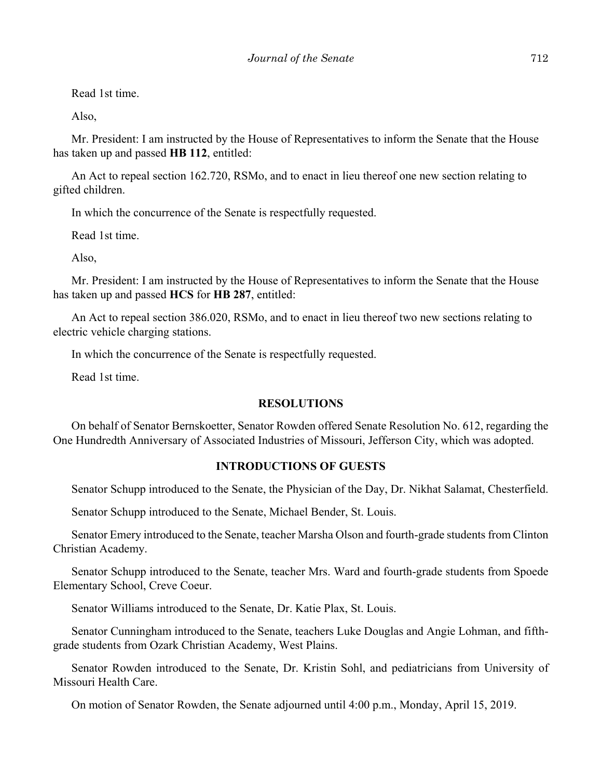Read 1st time.

Also,

Mr. President: I am instructed by the House of Representatives to inform the Senate that the House has taken up and passed **HB 112**, entitled:

An Act to repeal section 162.720, RSMo, and to enact in lieu thereof one new section relating to gifted children.

In which the concurrence of the Senate is respectfully requested.

Read 1st time.

Also,

Mr. President: I am instructed by the House of Representatives to inform the Senate that the House has taken up and passed **HCS** for **HB 287**, entitled:

An Act to repeal section 386.020, RSMo, and to enact in lieu thereof two new sections relating to electric vehicle charging stations.

In which the concurrence of the Senate is respectfully requested.

Read 1st time.

## **RESOLUTIONS**

On behalf of Senator Bernskoetter, Senator Rowden offered Senate Resolution No. 612, regarding the One Hundredth Anniversary of Associated Industries of Missouri, Jefferson City, which was adopted.

# **INTRODUCTIONS OF GUESTS**

Senator Schupp introduced to the Senate, the Physician of the Day, Dr. Nikhat Salamat, Chesterfield.

Senator Schupp introduced to the Senate, Michael Bender, St. Louis.

Senator Emery introduced to the Senate, teacher Marsha Olson and fourth-grade students from Clinton Christian Academy.

Senator Schupp introduced to the Senate, teacher Mrs. Ward and fourth-grade students from Spoede Elementary School, Creve Coeur.

Senator Williams introduced to the Senate, Dr. Katie Plax, St. Louis.

Senator Cunningham introduced to the Senate, teachers Luke Douglas and Angie Lohman, and fifthgrade students from Ozark Christian Academy, West Plains.

Senator Rowden introduced to the Senate, Dr. Kristin Sohl, and pediatricians from University of Missouri Health Care.

On motion of Senator Rowden, the Senate adjourned until 4:00 p.m., Monday, April 15, 2019.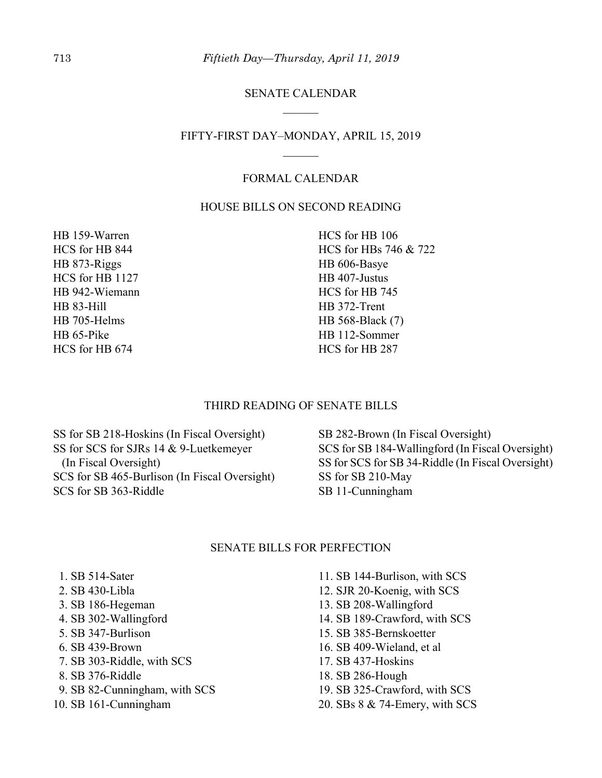# SENATE CALENDAR

## FIFTY-FIRST DAY–MONDAY, APRIL 15, 2019

# FORMAL CALENDAR

## HOUSE BILLS ON SECOND READING

HB 159-Warren HCS for HB 844 HB 873-Riggs HCS for HB 1127 HB 942-Wiemann HB 83-Hill HB 705-Helms HB 65-Pike HCS for HB 674

HCS for HB 106 HCS for HBs 746 & 722 HB 606-Basye HB 407-Justus HCS for HB 745 HB 372-Trent HB 568-Black (7) HB 112-Sommer HCS for HB 287

## THIRD READING OF SENATE BILLS

SS for SB 218-Hoskins (In Fiscal Oversight) SS for SCS for SJRs 14 & 9-Luetkemeyer (In Fiscal Oversight) SCS for SB 465-Burlison (In Fiscal Oversight) SCS for SB 363-Riddle

SB 282-Brown (In Fiscal Oversight) SCS for SB 184-Wallingford (In Fiscal Oversight) SS for SCS for SB 34-Riddle (In Fiscal Oversight) SS for SB 210-May SB 11-Cunningham

## SENATE BILLS FOR PERFECTION

- 1. SB 514-Sater
- 2. SB 430-Libla
- 3. SB 186-Hegeman
- 4. SB 302-Wallingford
- 5. SB 347-Burlison
- 6. SB 439-Brown
- 7. SB 303-Riddle, with SCS
- 8. SB 376-Riddle
- 9. SB 82-Cunningham, with SCS
- 10. SB 161-Cunningham
- 11. SB 144-Burlison, with SCS
- 12. SJR 20-Koenig, with SCS
- 13. SB 208-Wallingford
- 14. SB 189-Crawford, with SCS
- 15. SB 385-Bernskoetter
- 16. SB 409-Wieland, et al
- 17. SB 437-Hoskins
- 18. SB 286-Hough
- 19. SB 325-Crawford, with SCS
- 20. SBs 8 & 74-Emery, with SCS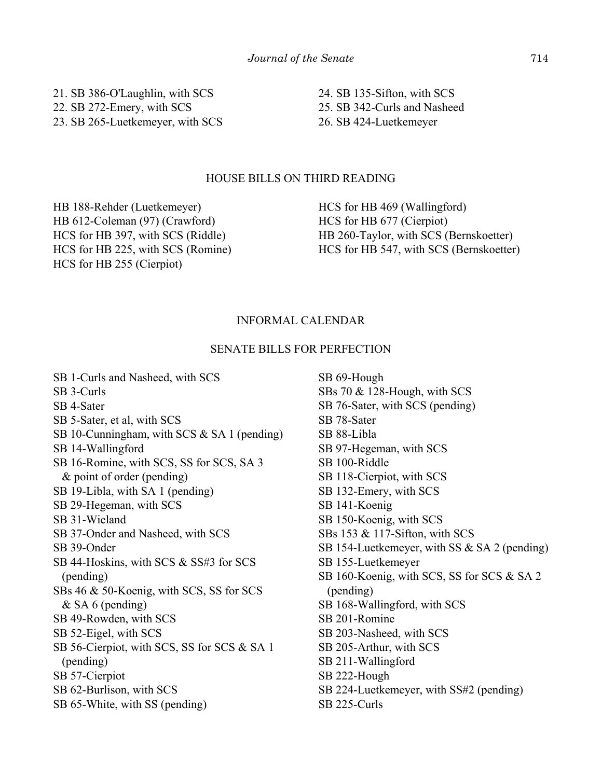21. SB 386-O'Laughlin, with SCS 22. SB 272-Emery, with SCS 23. SB 265-Luetkemeyer, with SCS

HOUSE BILLS ON THIRD READING

HB 188-Rehder (Luetkemeyer) HB 612-Coleman (97) (Crawford) HCS for HB 397, with SCS (Riddle) HCS for HB 225, with SCS (Romine) HCS for HB 255 (Cierpiot)

HCS for HB 469 (Wallingford) HCS for HB 677 (Cierpiot) HB 260-Taylor, with SCS (Bernskoetter) HCS for HB 547, with SCS (Bernskoetter)

24. SB 135-Sifton, with SCS 25. SB 342-Curls and Nasheed

26. SB 424-Luetkemeyer

# INFORMAL CALENDAR

## SENATE BILLS FOR PERFECTION

SB 1-Curls and Nasheed, with SCS SB 3-Curls SB 4-Sater SB 5-Sater, et al, with SCS SB 10-Cunningham, with SCS & SA 1 (pending) SB 14-Wallingford SB 16-Romine, with SCS, SS for SCS, SA 3 & point of order (pending) SB 19-Libla, with SA 1 (pending) SB 29-Hegeman, with SCS SB 31-Wieland SB 37-Onder and Nasheed, with SCS SB 39-Onder SB 44-Hoskins, with SCS & SS#3 for SCS (pending) SBs 46 & 50-Koenig, with SCS, SS for SCS & SA 6 (pending) SB 49-Rowden, with SCS SB 52-Eigel, with SCS SB 56-Cierpiot, with SCS, SS for SCS & SA 1 (pending) SB 57-Cierpiot SB 62-Burlison, with SCS SB 65-White, with SS (pending)

SB 69-Hough SBs 70 & 128-Hough, with SCS SB 76-Sater, with SCS (pending) SB 78-Sater SB 88-Libla SB 97-Hegeman, with SCS SB 100-Riddle SB 118-Cierpiot, with SCS SB 132-Emery, with SCS SB 141-Koenig SB 150-Koenig, with SCS SBs 153 & 117-Sifton, with SCS SB 154-Luetkemeyer, with SS & SA 2 (pending) SB 155-Luetkemeyer SB 160-Koenig, with SCS, SS for SCS & SA 2 (pending) SB 168-Wallingford, with SCS SB 201-Romine SB 203-Nasheed, with SCS SB 205-Arthur, with SCS SB 211-Wallingford SB 222-Hough SB 224-Luetkemeyer, with SS#2 (pending) SB 225-Curls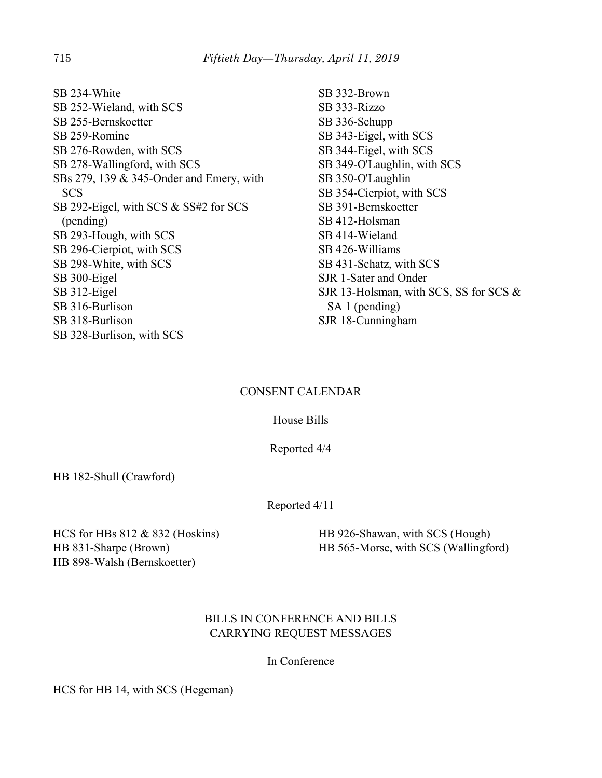SB 234-White SB 252-Wieland, with SCS SB 255-Bernskoetter SB 259-Romine SB 276-Rowden, with SCS SB 278-Wallingford, with SCS SBs 279, 139 & 345-Onder and Emery, with **SCS** SB 292-Eigel, with SCS & SS#2 for SCS (pending) SB 293-Hough, with SCS SB 296-Cierpiot, with SCS SB 298-White, with SCS SB 300-Eigel SB 312-Eigel SB 316-Burlison SB 318-Burlison SB 328-Burlison, with SCS

SB 332-Brown SB 333-Rizzo SB 336-Schupp SB 343-Eigel, with SCS SB 344-Eigel, with SCS SB 349-O'Laughlin, with SCS SB 350-O'Laughlin SB 354-Cierpiot, with SCS SB 391-Bernskoetter SB 412-Holsman SB 414-Wieland SB 426-Williams SB 431-Schatz, with SCS SJR 1-Sater and Onder SJR 13-Holsman, with SCS, SS for SCS & SA 1 (pending) SJR 18-Cunningham

# CONSENT CALENDAR

House Bills

Reported 4/4

HB 182-Shull (Crawford)

Reported 4/11

HCS for HBs 812 & 832 (Hoskins) HB 831-Sharpe (Brown) HB 898-Walsh (Bernskoetter)

HB 926-Shawan, with SCS (Hough) HB 565-Morse, with SCS (Wallingford)

# BILLS IN CONFERENCE AND BILLS CARRYING REQUEST MESSAGES

In Conference

HCS for HB 14, with SCS (Hegeman)